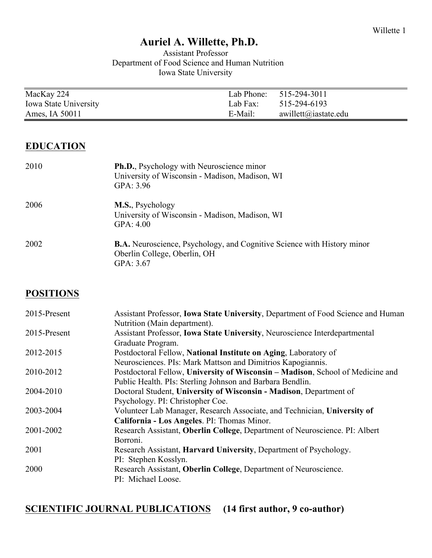### **Auriel A. Willette, Ph.D.**

#### Assistant Professor Department of Food Science and Human Nutrition Iowa State University

| MacKay 224            |          | Lab Phone: 515-294-3011 |
|-----------------------|----------|-------------------------|
| Iowa State University | Lab Fax: | 515-294-6193            |
| Ames, IA 50011        | E-Mail:  | awillett@iastate.edu    |
|                       |          |                         |

#### **EDUCATION**

| 2010 | Ph.D., Psychology with Neuroscience minor<br>University of Wisconsin - Madison, Madison, WI<br>GPA: 3.96                    |
|------|-----------------------------------------------------------------------------------------------------------------------------|
| 2006 | M.S., Psychology<br>University of Wisconsin - Madison, Madison, WI<br>GPA: $4.00$                                           |
| 2002 | <b>B.A.</b> Neuroscience, Psychology, and Cognitive Science with History minor<br>Oberlin College, Oberlin, OH<br>GPA: 3.67 |

#### **POSITIONS**

| 2015-Present | Assistant Professor, <b>Iowa State University</b> , Department of Food Science and Human |
|--------------|------------------------------------------------------------------------------------------|
|              | Nutrition (Main department).                                                             |
| 2015-Present | Assistant Professor, Iowa State University, Neuroscience Interdepartmental               |
|              | Graduate Program.                                                                        |
| 2012-2015    | Postdoctoral Fellow, National Institute on Aging, Laboratory of                          |
|              | Neurosciences. PIs: Mark Mattson and Dimitrios Kapogiannis.                              |
| 2010-2012    | Postdoctoral Fellow, University of Wisconsin - Madison, School of Medicine and           |
|              | Public Health. PIs: Sterling Johnson and Barbara Bendlin.                                |
| 2004-2010    | Doctoral Student, University of Wisconsin - Madison, Department of                       |
|              | Psychology. PI: Christopher Coe.                                                         |
| 2003-2004    | Volunteer Lab Manager, Research Associate, and Technician, University of                 |
|              | California - Los Angeles. PI: Thomas Minor.                                              |
| 2001-2002    | Research Assistant, Oberlin College, Department of Neuroscience. PI: Albert              |
|              | Borroni.                                                                                 |
| 2001         | Research Assistant, Harvard University, Department of Psychology.                        |
|              | PI: Stephen Kosslyn.                                                                     |
| 2000         | Research Assistant, Oberlin College, Department of Neuroscience.                         |
|              | PI: Michael Loose.                                                                       |

#### **SCIENTIFIC JOURNAL PUBLICATIONS (14 first author, 9 co-author)**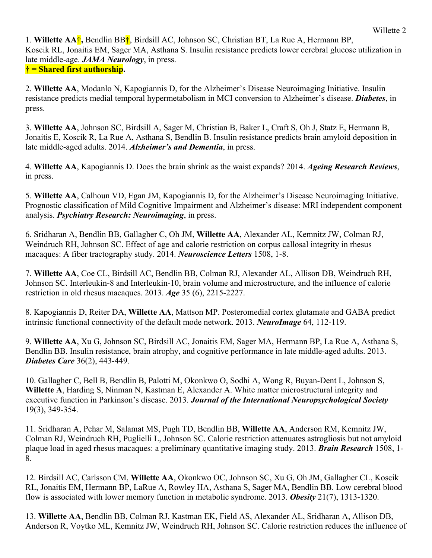1. **Willette AA†,** Bendlin BB**†**, Birdsill AC, Johnson SC, Christian BT, La Rue A, Hermann BP, Koscik RL, Jonaitis EM, Sager MA, Asthana S. Insulin resistance predicts lower cerebral glucose utilization in late middle-age. *JAMA Neurology*, in press. **† = Shared first authorship.**

2. **Willette AA**, Modanlo N, Kapogiannis D, for the Alzheimer's Disease Neuroimaging Initiative. Insulin resistance predicts medial temporal hypermetabolism in MCI conversion to Alzheimer's disease. *Diabetes*, in press.

3. **Willette AA**, Johnson SC, Birdsill A, Sager M, Christian B, Baker L, Craft S, Oh J, Statz E, Hermann B, Jonaitis E, Koscik R, La Rue A, Asthana S, Bendlin B. Insulin resistance predicts brain amyloid deposition in late middle-aged adults. 2014. *Alzheimer's and Dementia*, in press.

4. **Willette AA**, Kapogiannis D. Does the brain shrink as the waist expands? 2014. *Ageing Research Reviews*, in press.

5. **Willette AA**, Calhoun VD, Egan JM, Kapogiannis D, for the Alzheimer's Disease Neuroimaging Initiative. Prognostic classification of Mild Cognitive Impairment and Alzheimer's disease: MRI independent component analysis. *Psychiatry Research: Neuroimaging*, in press.

6. Sridharan A, Bendlin BB, Gallagher C, Oh JM, **Willette AA**, Alexander AL, Kemnitz JW, Colman RJ, Weindruch RH, Johnson SC. Effect of age and calorie restriction on corpus callosal integrity in rhesus macaques: A fiber tractography study. 2014. *Neuroscience Letters* 1508, 1-8.

7. **Willette AA**, Coe CL, Birdsill AC, Bendlin BB, Colman RJ, Alexander AL, Allison DB, Weindruch RH, Johnson SC. Interleukin-8 and Interleukin-10, brain volume and microstructure, and the influence of calorie restriction in old rhesus macaques. 2013. *Age* 35 (6), 2215-2227.

8. Kapogiannis D, Reiter DA, **Willette AA**, Mattson MP. Posteromedial cortex glutamate and GABA predict intrinsic functional connectivity of the default mode network. 2013. *NeuroImage* 64, 112-119.

9. **Willette AA**, Xu G, Johnson SC, Birdsill AC, Jonaitis EM, Sager MA, Hermann BP, La Rue A, Asthana S, Bendlin BB. Insulin resistance, brain atrophy, and cognitive performance in late middle-aged adults. 2013. *Diabetes Care* 36(2), 443-449.

10. Gallagher C, Bell B, Bendlin B, Palotti M, Okonkwo O, Sodhi A, Wong R, Buyan-Dent L, Johnson S, **Willette A**, Harding S, Ninman N, Kastman E, Alexander A. White matter microstructural integrity and executive function in Parkinson's disease. 2013. *Journal of the International Neuropsychological Society* 19(3), 349-354.

11. Sridharan A, Pehar M, Salamat MS, Pugh TD, Bendlin BB, **Willette AA**, Anderson RM, Kemnitz JW, Colman RJ, Weindruch RH, Puglielli L, Johnson SC. Calorie restriction attenuates astrogliosis but not amyloid plaque load in aged rhesus macaques: a preliminary quantitative imaging study. 2013. *Brain Research* 1508, 1- 8.

12. Birdsill AC, Carlsson CM, **Willette AA**, Okonkwo OC, Johnson SC, Xu G, Oh JM, Gallagher CL, Koscik RL, Jonaitis EM, Hermann BP, LaRue A, Rowley HA, Asthana S, Sager MA, Bendlin BB. Low cerebral blood flow is associated with lower memory function in metabolic syndrome. 2013. *Obesity* 21(7), 1313-1320.

13. **Willette AA**, Bendlin BB, Colman RJ, Kastman EK, Field AS, Alexander AL, Sridharan A, Allison DB, Anderson R, Voytko ML, Kemnitz JW, Weindruch RH, Johnson SC. Calorie restriction reduces the influence of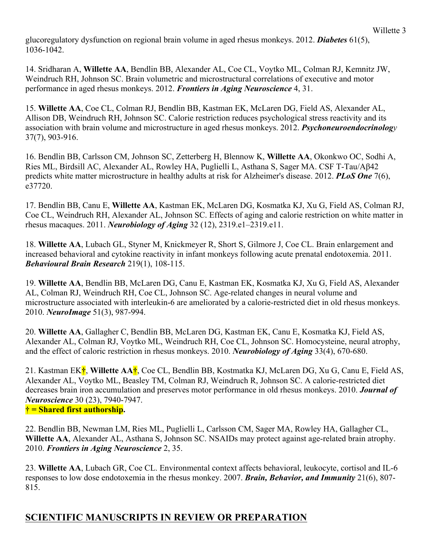glucoregulatory dysfunction on regional brain volume in aged rhesus monkeys. 2012. *Diabetes* 61(5), 1036-1042.

14. Sridharan A, **Willette AA**, Bendlin BB, Alexander AL, Coe CL, Voytko ML, Colman RJ, Kemnitz JW, Weindruch RH, Johnson SC. Brain volumetric and microstructural correlations of executive and motor performance in aged rhesus monkeys. 2012. *Frontiers in Aging Neuroscience* 4, 31.

15. **Willette AA**, Coe CL, Colman RJ, Bendlin BB, Kastman EK, McLaren DG, Field AS, Alexander AL, Allison DB, Weindruch RH, Johnson SC. Calorie restriction reduces psychological stress reactivity and its association with brain volume and microstructure in aged rhesus monkeys. 2012. *Psychoneuroendocrinology* 37(7), 903-916.

16. Bendlin BB, Carlsson CM, Johnson SC, Zetterberg H, Blennow K, **Willette AA**, Okonkwo OC, Sodhi A, Ries ML, Birdsill AC, Alexander AL, Rowley HA, Puglielli L, Asthana S, Sager MA. CSF T-Tau/Aβ42 predicts white matter microstructure in healthy adults at risk for Alzheimer's disease. 2012. *PLoS One* 7(6), e37720.

17. Bendlin BB, Canu E, **Willette AA**, Kastman EK, McLaren DG, Kosmatka KJ, Xu G, Field AS, Colman RJ, Coe CL, Weindruch RH, Alexander AL, Johnson SC. Effects of aging and calorie restriction on white matter in rhesus macaques. 2011. *Neurobiology of Aging* 32 (12), 2319.e1–2319.e11.

18. **Willette AA**, Lubach GL, Styner M, Knickmeyer R, Short S, Gilmore J, Coe CL. Brain enlargement and increased behavioral and cytokine reactivity in infant monkeys following acute prenatal endotoxemia. 2011. *Behavioural Brain Research* 219(1), 108-115.

19. **Willette AA**, Bendlin BB, McLaren DG, Canu E, Kastman EK, Kosmatka KJ, Xu G, Field AS, Alexander AL, Colman RJ, Weindruch RH, Coe CL, Johnson SC. Age-related changes in neural volume and microstructure associated with interleukin-6 are ameliorated by a calorie-restricted diet in old rhesus monkeys. 2010. *NeuroImage* 51(3), 987-994.

20. **Willette AA**, Gallagher C, Bendlin BB, McLaren DG, Kastman EK, Canu E, Kosmatka KJ, Field AS, Alexander AL, Colman RJ, Voytko ML, Weindruch RH, Coe CL, Johnson SC. Homocysteine, neural atrophy, and the effect of caloric restriction in rhesus monkeys. 2010. *Neurobiology of Aging* 33(4), 670-680.

21. Kastman EK**†**, **Willette AA†**, Coe CL, Bendlin BB, Kostmatka KJ, McLaren DG, Xu G, Canu E, Field AS, Alexander AL, Voytko ML, Beasley TM, Colman RJ, Weindruch R, Johnson SC. A calorie-restricted diet decreases brain iron accumulation and preserves motor performance in old rhesus monkeys. 2010. *Journal of Neuroscience* 30 (23), 7940-7947. **† = Shared first authorship.**

22. Bendlin BB, Newman LM, Ries ML, Puglielli L, Carlsson CM, Sager MA, Rowley HA, Gallagher CL, **Willette AA**, Alexander AL, Asthana S, Johnson SC. NSAIDs may protect against age-related brain atrophy. 2010. *Frontiers in Aging Neuroscience* 2, 35.

23. **Willette AA**, Lubach GR, Coe CL. Environmental context affects behavioral, leukocyte, cortisol and IL-6 responses to low dose endotoxemia in the rhesus monkey. 2007. *Brain, Behavior, and Immunity* 21(6), 807- 815.

### **SCIENTIFIC MANUSCRIPTS IN REVIEW OR PREPARATION**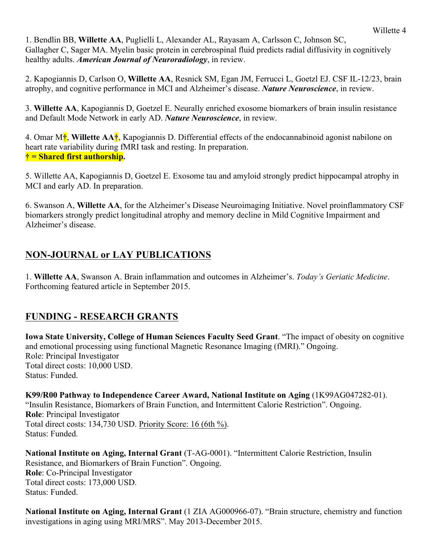1. Bendlin BB, **Willette AA**, Puglielli L, Alexander AL, Rayasam A, Carlsson C, Johnson SC, Gallagher C, Sager MA. Myelin basic protein in cerebrospinal fluid predicts radial diffusivity in cognitively healthy adults. *American Journal of Neuroradiology*, in review.

2. Kapogiannis D, Carlson O, **Willette AA**, Resnick SM, Egan JM, Ferrucci L, Goetzl EJ. CSF IL-12/23, brain atrophy, and cognitive performance in MCI and Alzheimer's disease. *Nature Neuroscience*, in review.

3. **Willette AA**, Kapogiannis D, Goetzel E. Neurally enriched exosome biomarkers of brain insulin resistance and Default Mode Network in early AD. *Nature Neuroscience*, in review.

4. Omar M**†**, **Willette AA†**, Kapogiannis D. Differential effects of the endocannabinoid agonist nabilone on heart rate variability during fMRI task and resting. In preparation. **† = Shared first authorship.**

5. Willette AA, Kapogiannis D, Goetzel E. Exosome tau and amyloid strongly predict hippocampal atrophy in MCI and early AD. In preparation.

6. Swanson A, **Willette AA**, for the Alzheimer's Disease Neuroimaging Initiative. Novel proinflammatory CSF biomarkers strongly predict longitudinal atrophy and memory decline in Mild Cognitive Impairment and Alzheimer's disease.

## **NON-JOURNAL or LAY PUBLICATIONS**

1. **Willette AA**, Swanson A. Brain inflammation and outcomes in Alzheimer's. *Today's Geriatic Medicine*. Forthcoming featured article in September 2015.

### **FUNDING - RESEARCH GRANTS**

**Iowa State University, College of Human Sciences Faculty Seed Grant**. "The impact of obesity on cognitive and emotional processing using functional Magnetic Resonance Imaging (fMRI)." Ongoing. Role: Principal Investigator Total direct costs: 10,000 USD. Status: Funded.

**K99/R00 Pathway to Independence Career Award, National Institute on Aging** (1K99AG047282-01). "Insulin Resistance, Biomarkers of Brain Function, and Intermittent Calorie Restriction". Ongoing. **Role**: Principal Investigator Total direct costs: 134,730 USD. Priority Score: 16 (6th %). Status: Funded.

**National Institute on Aging, Internal Grant** (T-AG-0001). "Intermittent Calorie Restriction, Insulin Resistance, and Biomarkers of Brain Function". Ongoing. **Role**: Co-Principal Investigator Total direct costs: 173,000 USD. Status: Funded.

**National Institute on Aging, Internal Grant** (1 ZIA AG000966-07). "Brain structure, chemistry and function investigations in aging using MRI/MRS". May 2013-December 2015.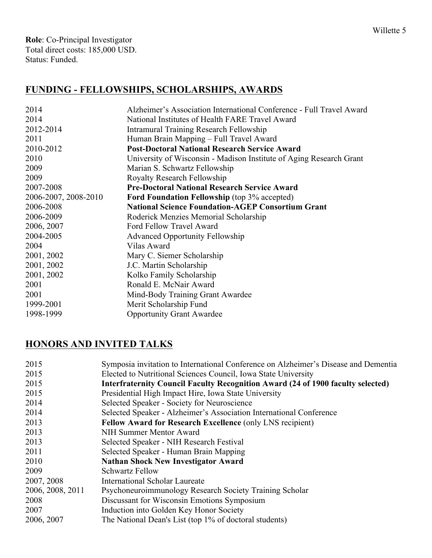**Role**: Co-Principal Investigator Total direct costs: 185,000 USD. Status: Funded.

# **FUNDING - FELLOWSHIPS, SCHOLARSHIPS, AWARDS**

| 2014                 | Alzheimer's Association International Conference - Full Travel Award |  |
|----------------------|----------------------------------------------------------------------|--|
| 2014                 | National Institutes of Health FARE Travel Award                      |  |
| 2012-2014            | Intramural Training Research Fellowship                              |  |
| 2011                 | Human Brain Mapping - Full Travel Award                              |  |
| 2010-2012            | <b>Post-Doctoral National Research Service Award</b>                 |  |
| 2010                 | University of Wisconsin - Madison Institute of Aging Research Grant  |  |
| 2009                 | Marian S. Schwartz Fellowship                                        |  |
| 2009                 | <b>Royalty Research Fellowship</b>                                   |  |
| 2007-2008            | <b>Pre-Doctoral National Research Service Award</b>                  |  |
| 2006-2007, 2008-2010 | <b>Ford Foundation Fellowship</b> (top 3% accepted)                  |  |
| 2006-2008            | <b>National Science Foundation-AGEP Consortium Grant</b>             |  |
| 2006-2009            | Roderick Menzies Memorial Scholarship                                |  |
| 2006, 2007           | Ford Fellow Travel Award                                             |  |
| 2004-2005            | <b>Advanced Opportunity Fellowship</b>                               |  |
| 2004                 | Vilas Award                                                          |  |
| 2001, 2002           | Mary C. Siemer Scholarship                                           |  |
| 2001, 2002           | J.C. Martin Scholarship                                              |  |
| 2001, 2002           | Kolko Family Scholarship                                             |  |
| 2001                 | Ronald E. McNair Award                                               |  |
| 2001                 | Mind-Body Training Grant Awardee                                     |  |
| 1999-2001            | Merit Scholarship Fund                                               |  |
| 1998-1999            | <b>Opportunity Grant Awardee</b>                                     |  |

# **HONORS AND INVITED TALKS**

| 2015             | Symposia invitation to International Conference on Alzheimer's Disease and Dementia    |  |  |
|------------------|----------------------------------------------------------------------------------------|--|--|
| 2015             | Elected to Nutritional Sciences Council, Iowa State University                         |  |  |
| 2015             | <b>Interfraternity Council Faculty Recognition Award (24 of 1900 faculty selected)</b> |  |  |
| 2015             | Presidential High Impact Hire, Iowa State University                                   |  |  |
| 2014             | Selected Speaker - Society for Neuroscience                                            |  |  |
| 2014             | Selected Speaker - Alzheimer's Association International Conference                    |  |  |
| 2013             | Fellow Award for Research Excellence (only LNS recipient)                              |  |  |
| 2013             | NIH Summer Mentor Award                                                                |  |  |
| 2013             | Selected Speaker - NIH Research Festival                                               |  |  |
| 2011             | Selected Speaker - Human Brain Mapping                                                 |  |  |
| 2010             | <b>Nathan Shock New Investigator Award</b>                                             |  |  |
| 2009             | <b>Schwartz Fellow</b>                                                                 |  |  |
| 2007, 2008       | <b>International Scholar Laureate</b>                                                  |  |  |
| 2006, 2008, 2011 | Psychoneuroimmunology Research Society Training Scholar                                |  |  |
| 2008             | Discussant for Wisconsin Emotions Symposium                                            |  |  |
| 2007             | Induction into Golden Key Honor Society                                                |  |  |
| 2006, 2007       | The National Dean's List (top 1% of doctoral students)                                 |  |  |
|                  |                                                                                        |  |  |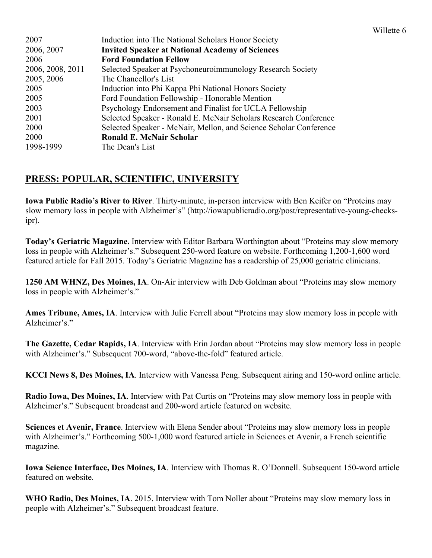| 2007             | Induction into The National Scholars Honor Society                |
|------------------|-------------------------------------------------------------------|
| 2006, 2007       | <b>Invited Speaker at National Academy of Sciences</b>            |
| 2006             | <b>Ford Foundation Fellow</b>                                     |
| 2006, 2008, 2011 | Selected Speaker at Psychoneuroimmunology Research Society        |
| 2005, 2006       | The Chancellor's List                                             |
| 2005             | Induction into Phi Kappa Phi National Honors Society              |
| 2005             | Ford Foundation Fellowship - Honorable Mention                    |
| 2003             | Psychology Endorsement and Finalist for UCLA Fellowship           |
| 2001             | Selected Speaker - Ronald E. McNair Scholars Research Conference  |
| 2000             | Selected Speaker - McNair, Mellon, and Science Scholar Conference |
| 2000             | <b>Ronald E. McNair Scholar</b>                                   |
| 1998-1999        | The Dean's List                                                   |

#### **PRESS: POPULAR, SCIENTIFIC, UNIVERSITY**

**Iowa Public Radio's River to River**. Thirty-minute, in-person interview with Ben Keifer on "Proteins may slow memory loss in people with Alzheimer's" (http://iowapublicradio.org/post/representative-young-checksipr).

**Today's Geriatric Magazine.** Interview with Editor Barbara Worthington about "Proteins may slow memory loss in people with Alzheimer's." Subsequent 250-word feature on website. Forthcoming 1,200-1,600 word featured article for Fall 2015. Today's Geriatric Magazine has a readership of 25,000 geriatric clinicians.

**1250 AM WHNZ, Des Moines, IA**. On-Air interview with Deb Goldman about "Proteins may slow memory loss in people with Alzheimer's."

**Ames Tribune, Ames, IA**. Interview with Julie Ferrell about "Proteins may slow memory loss in people with Alzheimer's."

**The Gazette, Cedar Rapids, IA**. Interview with Erin Jordan about "Proteins may slow memory loss in people with Alzheimer's." Subsequent 700-word, "above-the-fold" featured article.

**KCCI News 8, Des Moines, IA**. Interview with Vanessa Peng. Subsequent airing and 150-word online article.

**Radio Iowa, Des Moines, IA**. Interview with Pat Curtis on "Proteins may slow memory loss in people with Alzheimer's." Subsequent broadcast and 200-word article featured on website.

**Sciences et Avenir, France**. Interview with Elena Sender about "Proteins may slow memory loss in people with Alzheimer's." Forthcoming 500-1,000 word featured article in Sciences et Avenir, a French scientific magazine.

**Iowa Science Interface, Des Moines, IA**. Interview with Thomas R. O'Donnell. Subsequent 150-word article featured on website.

**WHO Radio, Des Moines, IA**. 2015. Interview with Tom Noller about "Proteins may slow memory loss in people with Alzheimer's." Subsequent broadcast feature.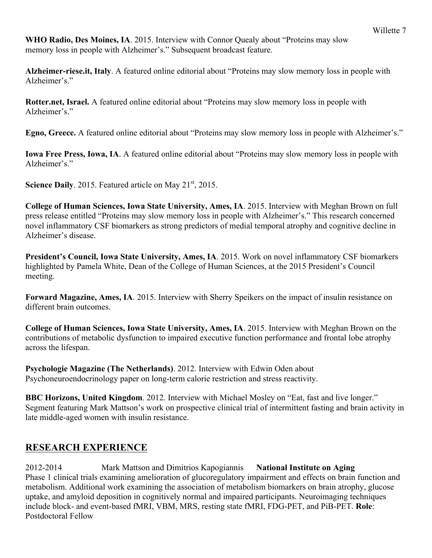**WHO Radio, Des Moines, IA**. 2015. Interview with Connor Quealy about "Proteins may slow memory loss in people with Alzheimer's." Subsequent broadcast feature.

**Alzheimer-riese.it, Italy**. A featured online editorial about "Proteins may slow memory loss in people with Alzheimer's."

**Rotter.net, Israel.** A featured online editorial about "Proteins may slow memory loss in people with Alzheimer's."

**Egno, Greece.** A featured online editorial about "Proteins may slow memory loss in people with Alzheimer's."

**Iowa Free Press, Iowa, IA**. A featured online editorial about "Proteins may slow memory loss in people with Alzheimer's."

**Science Daily.** 2015. Featured article on May 21<sup>st</sup>, 2015.

**College of Human Sciences, Iowa State University, Ames, IA**. 2015. Interview with Meghan Brown on full press release entitled "Proteins may slow memory loss in people with Alzheimer's." This research concerned novel inflammatory CSF biomarkers as strong predictors of medial temporal atrophy and cognitive decline in Alzheimer's disease.

**President's Council, Iowa State University, Ames, IA**. 2015. Work on novel inflammatory CSF biomarkers highlighted by Pamela White, Dean of the College of Human Sciences, at the 2015 President's Council meeting.

**Forward Magazine, Ames, IA**. 2015. Interview with Sherry Speikers on the impact of insulin resistance on different brain outcomes.

**College of Human Sciences, Iowa State University, Ames, IA**. 2015. Interview with Meghan Brown on the contributions of metabolic dysfunction to impaired executive function performance and frontal lobe atrophy across the lifespan.

**Psychologie Magazine (The Netherlands)**. 2012. Interview with Edwin Oden about Psychoneuroendocrinology paper on long-term calorie restriction and stress reactivity.

**BBC Horizons, United Kingdom**. 2012. Interview with Michael Mosley on "Eat, fast and live longer." Segment featuring Mark Mattson's work on prospective clinical trial of intermittent fasting and brain activity in late middle-aged women with insulin resistance.

#### **RESEARCH EXPERIENCE**

2012-2014 Mark Mattson and Dimitrios Kapogiannis **National Institute on Aging** Phase 1 clinical trials examining amelioration of glucoregulatory impairment and effects on brain function and metabolism. Additional work examining the association of metabolism biomarkers on brain atrophy, glucose uptake, and amyloid deposition in cognitively normal and impaired participants. Neuroimaging techniques include block- and event-based fMRI, VBM, MRS, resting state fMRI, FDG-PET, and PiB-PET. **Role**: Postdoctoral Fellow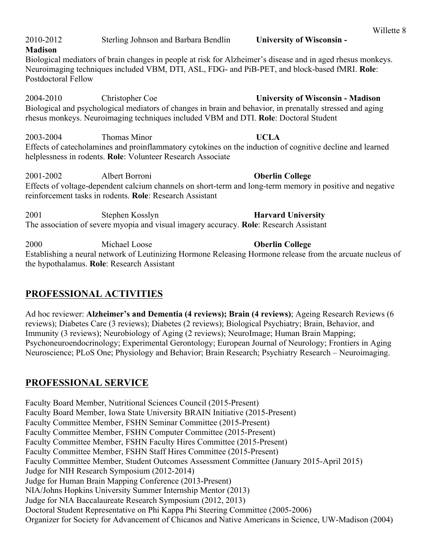| 2004-2010 | Christopher Coe                                                             | <b>University of Wisconsin - Madison</b><br>Biological and psychological mediators of changes in brain and behavior, in prenatally stressed and aging<br>rhesus monkeys. Neuroimaging techniques included VBM and DTI. Role: Doctoral Student |
|-----------|-----------------------------------------------------------------------------|-----------------------------------------------------------------------------------------------------------------------------------------------------------------------------------------------------------------------------------------------|
| 2003-2004 | Thomas Minor<br>helplessness in rodents. Role: Volunteer Research Associate | <b>UCLA</b><br>Effects of catecholamines and proinflammatory cytokines on the induction of cognitive decline and learned                                                                                                                      |
| 2001-2002 | Albert Borroni<br>reinforcement tasks in rodents. Role: Research Assistant  | <b>Oberlin College</b><br>Effects of voltage-dependent calcium channels on short-term and long-term memory in positive and negative                                                                                                           |
| 2001      | Stephen Kosslyn                                                             | <b>Harvard University</b><br>The association of severe myopia and visual imagery accuracy. Role: Research Assistant                                                                                                                           |
|           |                                                                             |                                                                                                                                                                                                                                               |

Biological mediators of brain changes in people at risk for Alzheimer's disease and in aged rhesus monkeys. Neuroimaging techniques included VBM, DTI, ASL, FDG- and PiB-PET, and block-based fMRI. **Role**:

2004-2010 Christopher Coe **University of Wisconsin - Madison**

Postdoctoral Fellow

2010-2012 Sterling Johnson and Barbara Bendlin **University of Wisconsin -**

2000 Michael Loose **Oberlin College** Establishing a neural network of Leutinizing Hormone Releasing Hormone release from the arcuate nucleus of the hypothalamus. **Role**: Research Assistant

## **PROFESSIONAL ACTIVITIES**

**Madison**

Ad hoc reviewer: **Alzheimer's and Dementia (4 reviews); Brain (4 reviews)**; Ageing Research Reviews (6 reviews); Diabetes Care (3 reviews); Diabetes (2 reviews); Biological Psychiatry; Brain, Behavior, and Immunity (3 reviews); Neurobiology of Aging (2 reviews); NeuroImage; Human Brain Mapping; Psychoneuroendocrinology; Experimental Gerontology; European Journal of Neurology; Frontiers in Aging Neuroscience; PLoS One; Physiology and Behavior; Brain Research; Psychiatry Research – Neuroimaging.

## **PROFESSIONAL SERVICE**

Faculty Board Member, Nutritional Sciences Council (2015-Present) Faculty Board Member, Iowa State University BRAIN Initiative (2015-Present) Faculty Committee Member, FSHN Seminar Committee (2015-Present) Faculty Committee Member, FSHN Computer Committee (2015-Present) Faculty Committee Member, FSHN Faculty Hires Committee (2015-Present) Faculty Committee Member, FSHN Staff Hires Committee (2015-Present) Faculty Committee Member, Student Outcomes Assessment Committee (January 2015-April 2015) Judge for NIH Research Symposium (2012-2014) Judge for Human Brain Mapping Conference (2013-Present) NIA/Johns Hopkins University Summer Internship Mentor (2013) Judge for NIA Baccalaureate Research Symposium (2012, 2013) Doctoral Student Representative on Phi Kappa Phi Steering Committee (2005-2006) Organizer for Society for Advancement of Chicanos and Native Americans in Science, UW-Madison (2004)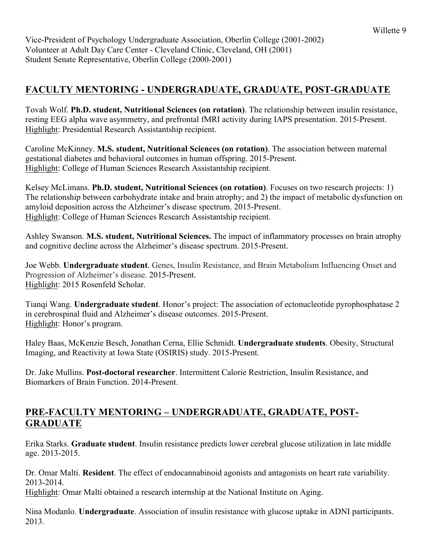Vice-President of Psychology Undergraduate Association, Oberlin College (2001-2002) Volunteer at Adult Day Care Center - Cleveland Clinic, Cleveland, OH (2001) Student Senate Representative, Oberlin College (2000-2001)

### **FACULTY MENTORING - UNDERGRADUATE, GRADUATE, POST-GRADUATE**

Tovah Wolf. **Ph.D. student, Nutritional Sciences (on rotation)**. The relationship between insulin resistance, resting EEG alpha wave asymmetry, and prefrontal fMRI activity during IAPS presentation. 2015-Present. Highlight: Presidential Research Assistantship recipient.

Caroline McKinney. **M.S. student, Nutritional Sciences (on rotation)**. The association between maternal gestational diabetes and behavioral outcomes in human offspring. 2015-Present. Highlight: College of Human Sciences Research Assistantship recipient.

Kelsey McLimans. **Ph.D. student, Nutritional Sciences (on rotation)**. Focuses on two research projects: 1) The relationship between carbohydrate intake and brain atrophy; and 2) the impact of metabolic dysfunction on amyloid deposition across the Alzheimer's disease spectrum. 2015-Present. Highlight: College of Human Sciences Research Assistantship recipient.

Ashley Swanson. **M.S. student, Nutritional Sciences.** The impact of inflammatory processes on brain atrophy and cognitive decline across the Alzheimer's disease spectrum. 2015-Present.

Joe Webb. **Undergraduate student**. Genes, Insulin Resistance, and Brain Metabolism Influencing Onset and Progression of Alzheimer's disease. 2015-Present. Highlight: 2015 Rosenfeld Scholar.

Tianqi Wang. **Undergraduate student**. Honor's project: The association of ectonucleotide pyrophosphatase 2 in cerebrospinal fluid and Alzheimer's disease outcomes. 2015-Present. Highlight: Honor's program.

Haley Baas, McKenzie Besch, Jonathan Cerna, Ellie Schmidt. **Undergraduate students**. Obesity, Structural Imaging, and Reactivity at Iowa State (OSIRIS) study. 2015-Present.

Dr. Jake Mullins. **Post-doctoral researcher**. Intermittent Calorie Restriction, Insulin Resistance, and Biomarkers of Brain Function. 2014-Present.

#### **PRE-FACULTY MENTORING – UNDERGRADUATE, GRADUATE, POST-GRADUATE**

Erika Starks. **Graduate student**. Insulin resistance predicts lower cerebral glucose utilization in late middle age. 2013-2015.

Dr. Omar Malti. **Resident**. The effect of endocannabinoid agonists and antagonists on heart rate variability. 2013-2014.

Highlight: Omar Malti obtained a research internship at the National Institute on Aging.

Nina Modanlo. **Undergraduate**. Association of insulin resistance with glucose uptake in ADNI participants. 2013.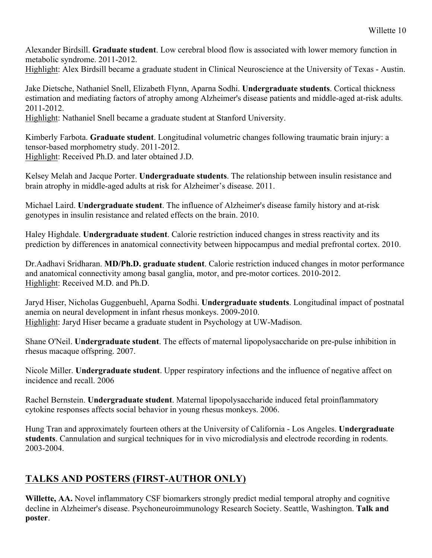Alexander Birdsill. **Graduate student**. Low cerebral blood flow is associated with lower memory function in metabolic syndrome. 2011-2012.

Highlight: Alex Birdsill became a graduate student in Clinical Neuroscience at the University of Texas - Austin.

Jake Dietsche, Nathaniel Snell, Elizabeth Flynn, Aparna Sodhi. **Undergraduate students**. Cortical thickness estimation and mediating factors of atrophy among Alzheimer's disease patients and middle-aged at-risk adults. 2011-2012.

Highlight: Nathaniel Snell became a graduate student at Stanford University.

Kimberly Farbota. **Graduate student**. Longitudinal volumetric changes following traumatic brain injury: a tensor-based morphometry study. 2011-2012. Highlight: Received Ph.D. and later obtained J.D.

Kelsey Melah and Jacque Porter. **Undergraduate students**. The relationship between insulin resistance and brain atrophy in middle-aged adults at risk for Alzheimer's disease. 2011.

Michael Laird. **Undergraduate student**. The influence of Alzheimer's disease family history and at-risk genotypes in insulin resistance and related effects on the brain. 2010.

Haley Highdale. **Undergraduate student**. Calorie restriction induced changes in stress reactivity and its prediction by differences in anatomical connectivity between hippocampus and medial prefrontal cortex. 2010.

Dr.Aadhavi Sridharan. **MD/Ph.D. graduate student**. Calorie restriction induced changes in motor performance and anatomical connectivity among basal ganglia, motor, and pre-motor cortices. 2010-2012. Highlight: Received M.D. and Ph.D.

Jaryd Hiser, Nicholas Guggenbuehl, Aparna Sodhi. **Undergraduate students**. Longitudinal impact of postnatal anemia on neural development in infant rhesus monkeys. 2009-2010. Highlight: Jaryd Hiser became a graduate student in Psychology at UW-Madison.

Shane O'Neil. **Undergraduate student**. The effects of maternal lipopolysaccharide on pre-pulse inhibition in rhesus macaque offspring. 2007.

Nicole Miller. **Undergraduate student**. Upper respiratory infections and the influence of negative affect on incidence and recall. 2006

Rachel Bernstein. **Undergraduate student**. Maternal lipopolysaccharide induced fetal proinflammatory cytokine responses affects social behavior in young rhesus monkeys. 2006.

Hung Tran and approximately fourteen others at the University of California - Los Angeles. **Undergraduate students**. Cannulation and surgical techniques for in vivo microdialysis and electrode recording in rodents. 2003-2004.

### **TALKS AND POSTERS (FIRST-AUTHOR ONLY)**

**Willette, AA.** Novel inflammatory CSF biomarkers strongly predict medial temporal atrophy and cognitive decline in Alzheimer's disease. Psychoneuroimmunology Research Society. Seattle, Washington. **Talk and poster**.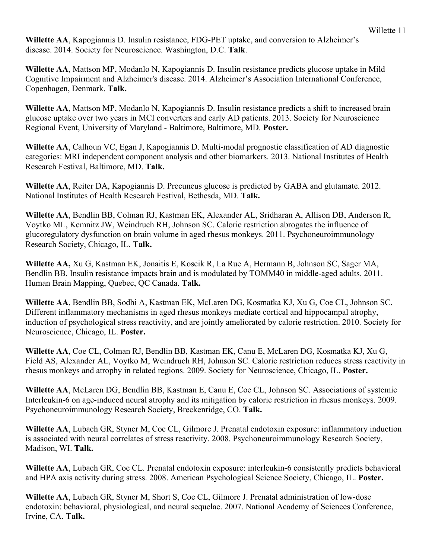**Willette AA**, Kapogiannis D. Insulin resistance, FDG-PET uptake, and conversion to Alzheimer's disease. 2014. Society for Neuroscience. Washington, D.C. **Talk**.

**Willette AA**, Mattson MP, Modanlo N, Kapogiannis D. Insulin resistance predicts glucose uptake in Mild Cognitive Impairment and Alzheimer's disease. 2014. Alzheimer's Association International Conference, Copenhagen, Denmark. **Talk.**

**Willette AA**, Mattson MP, Modanlo N, Kapogiannis D. Insulin resistance predicts a shift to increased brain glucose uptake over two years in MCI converters and early AD patients. 2013. Society for Neuroscience Regional Event, University of Maryland - Baltimore, Baltimore, MD. **Poster.**

**Willette AA**, Calhoun VC, Egan J, Kapogiannis D. Multi-modal prognostic classification of AD diagnostic categories: MRI independent component analysis and other biomarkers. 2013. National Institutes of Health Research Festival, Baltimore, MD. **Talk.**

**Willette AA**, Reiter DA, Kapogiannis D. Precuneus glucose is predicted by GABA and glutamate. 2012. National Institutes of Health Research Festival, Bethesda, MD. **Talk.**

**Willette AA**, Bendlin BB, Colman RJ, Kastman EK, Alexander AL, Sridharan A, Allison DB, Anderson R, Voytko ML, Kemnitz JW, Weindruch RH, Johnson SC. Calorie restriction abrogates the influence of glucoregulatory dysfunction on brain volume in aged rhesus monkeys. 2011. Psychoneuroimmunology Research Society, Chicago, IL. **Talk.**

**Willette AA,** Xu G, Kastman EK, Jonaitis E, Koscik R, La Rue A, Hermann B, Johnson SC, Sager MA, Bendlin BB. Insulin resistance impacts brain and is modulated by TOMM40 in middle-aged adults. 2011. Human Brain Mapping, Quebec, QC Canada. **Talk.**

**Willette AA**, Bendlin BB, Sodhi A, Kastman EK, McLaren DG, Kosmatka KJ, Xu G, Coe CL, Johnson SC. Different inflammatory mechanisms in aged rhesus monkeys mediate cortical and hippocampal atrophy, induction of psychological stress reactivity, and are jointly ameliorated by calorie restriction. 2010. Society for Neuroscience, Chicago, IL. **Poster.**

**Willette AA**, Coe CL, Colman RJ, Bendlin BB, Kastman EK, Canu E, McLaren DG, Kosmatka KJ, Xu G, Field AS, Alexander AL, Voytko M, Weindruch RH, Johnson SC. Caloric restriction reduces stress reactivity in rhesus monkeys and atrophy in related regions. 2009. Society for Neuroscience, Chicago, IL. **Poster.**

**Willette AA**, McLaren DG, Bendlin BB, Kastman E, Canu E, Coe CL, Johnson SC. Associations of systemic Interleukin-6 on age-induced neural atrophy and its mitigation by caloric restriction in rhesus monkeys. 2009. Psychoneuroimmunology Research Society, Breckenridge, CO. **Talk.**

**Willette AA**, Lubach GR, Styner M, Coe CL, Gilmore J. Prenatal endotoxin exposure: inflammatory induction is associated with neural correlates of stress reactivity. 2008. Psychoneuroimmunology Research Society, Madison, WI. **Talk.**

**Willette AA**, Lubach GR, Coe CL. Prenatal endotoxin exposure: interleukin-6 consistently predicts behavioral and HPA axis activity during stress. 2008. American Psychological Science Society, Chicago, IL. **Poster.**

**Willette AA**, Lubach GR, Styner M, Short S, Coe CL, Gilmore J. Prenatal administration of low-dose endotoxin: behavioral, physiological, and neural sequelae. 2007. National Academy of Sciences Conference, Irvine, CA. **Talk.**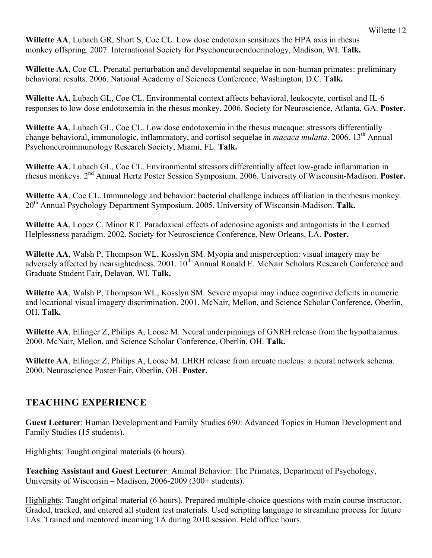**Willette AA**, Lubach GR, Short S, Coe CL. Low dose endotoxin sensitizes the HPA axis in rhesus monkey offspring. 2007. International Society for Psychoneuroendocrinology, Madison, WI. **Talk.**

**Willette AA**, Coe CL. Prenatal perturbation and developmental sequelae in non-human primates: preliminary behavioral results. 2006. National Academy of Sciences Conference, Washington, D.C. **Talk.**

**Willette AA**, Lubach GL, Coe CL. Environmental context affects behavioral, leukocyte, cortisol and IL-6 responses to low dose endotoxemia in the rhesus monkey. 2006. Society for Neuroscience, Atlanta, GA. **Poster.**

**Willette AA**, Lubach GL, Coe CL. Low dose endotoxemia in the rhesus macaque: stressors differentially change behavioral, immunologic, inflammatory, and cortisol sequelae in *macaca mulatta*. 2006. 13th Annual Psychoneuroimmunology Research Society, Miami, FL. **Talk.**

**Willette AA**, Lubach GL, Coe CL. Environmental stressors differentially affect low-grade inflammation in rhesus monkeys. 2nd Annual Hertz Poster Session Symposium. 2006. University of Wisconsin-Madison. **Poster.**

**Willette AA**, Coe CL. Immunology and behavior: bacterial challenge induces affiliation in the rhesus monkey. 20th Annual Psychology Department Symposium. 2005. University of Wisconsin-Madison. **Talk.**

**Willette AA**, Lopez C, Minor RT. Paradoxical effects of adenosine agonists and antagonists in the Learned Helplessness paradigm. 2002. Society for Neuroscience Conference, New Orleans, LA. **Poster.**

**Willette AA**, Walsh P, Thompson WL, Kosslyn SM. Myopia and misperception: visual imagery may be adversely affected by nearsightedness. 2001. 10<sup>th</sup> Annual Ronald E. McNair Scholars Research Conference and Graduate Student Fair, Delavan, WI. **Talk.**

**Willette AA**, Walsh P, Thompson WL, Kosslyn SM. Severe myopia may induce cognitive deficits in numeric and locational visual imagery discrimination. 2001. McNair, Mellon, and Science Scholar Conference, Oberlin, OH. **Talk.**

**Willette AA**, Ellinger Z, Philips A, Loose M. Neural underpinnings of GNRH release from the hypothalamus. 2000. McNair, Mellon, and Science Scholar Conference, Oberlin, OH. **Talk.**

**Willette AA**, Ellinger Z, Philips A, Loose M. LHRH release from arcuate nucleus: a neural network schema. 2000. Neuroscience Poster Fair, Oberlin, OH. **Poster.**

#### **TEACHING EXPERIENCE**

**Guest Lecturer**: Human Development and Family Studies 690: Advanced Topics in Human Development and Family Studies (15 students).

Highlights: Taught original materials (6 hours).

**Teaching Assistant and Guest Lecturer**: Animal Behavior: The Primates, Department of Psychology, University of Wisconsin – Madison, 2006-2009 (300+ students).

Highlights: Taught original material (6 hours). Prepared multiple-choice questions with main course instructor. Graded, tracked, and entered all student test materials. Used scripting language to streamline process for future TAs. Trained and mentored incoming TA during 2010 session. Held office hours.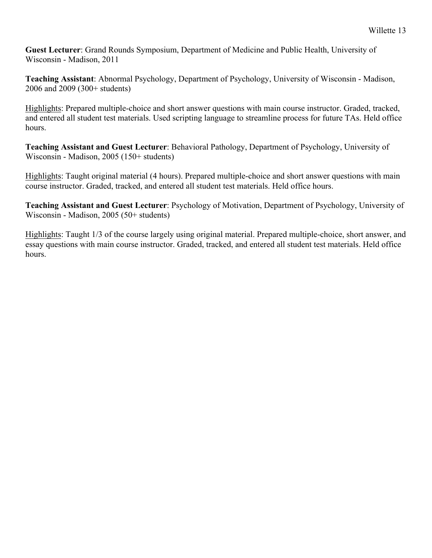**Guest Lecturer**: Grand Rounds Symposium, Department of Medicine and Public Health, University of Wisconsin - Madison, 2011

**Teaching Assistant**: Abnormal Psychology, Department of Psychology, University of Wisconsin - Madison, 2006 and 2009 (300+ students)

Highlights: Prepared multiple-choice and short answer questions with main course instructor. Graded, tracked, and entered all student test materials. Used scripting language to streamline process for future TAs. Held office hours.

**Teaching Assistant and Guest Lecturer**: Behavioral Pathology, Department of Psychology, University of Wisconsin - Madison, 2005 (150+ students)

Highlights: Taught original material (4 hours). Prepared multiple-choice and short answer questions with main course instructor. Graded, tracked, and entered all student test materials. Held office hours.

**Teaching Assistant and Guest Lecturer**: Psychology of Motivation, Department of Psychology, University of Wisconsin - Madison, 2005 (50+ students)

Highlights: Taught 1/3 of the course largely using original material. Prepared multiple-choice, short answer, and essay questions with main course instructor. Graded, tracked, and entered all student test materials. Held office hours.